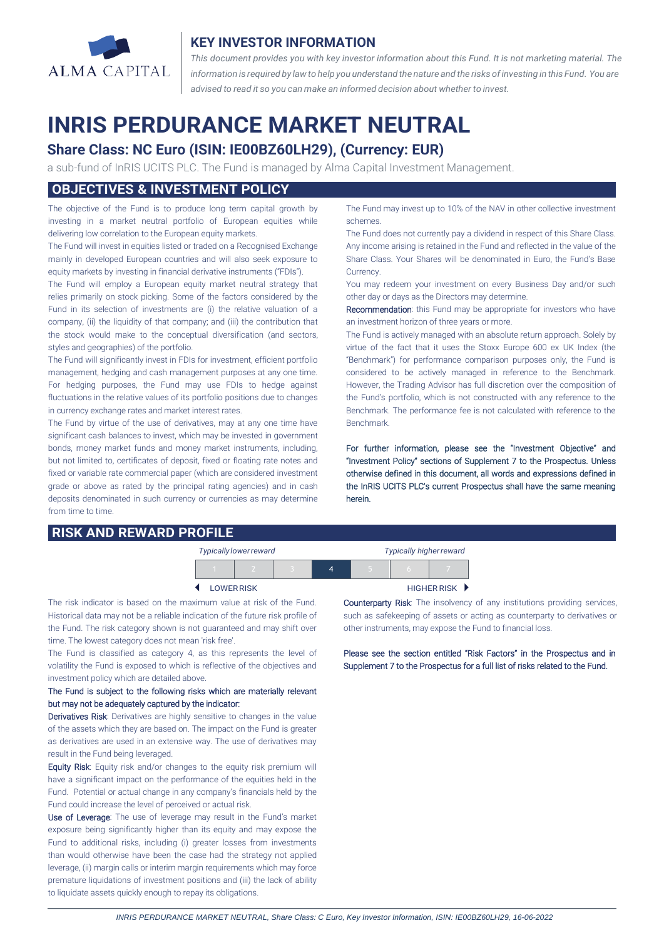

#### **KEY INVESTOR INFORMATION**

*This document provides you with key investor information about this Fund. It is not marketing material. The* information is required by law to help you understand the nature and the risks of investing in this Fund. You are *advised to read it so you can make an informed decision about whether to invest.*

# **INRIS PERDURANCE MARKET NEUTRAL**

# **Share Class: NC Euro (ISIN: IE00BZ60LH29), (Currency: EUR)**

a sub-fund of InRIS UCITS PLC. The Fund is managed by Alma Capital Investment Management.

#### **OBJECTIVES & INVESTMENT POLICY**

The objective of the Fund is to produce long term capital growth by investing in a market neutral portfolio of European equities while delivering low correlation to the European equity markets.

The Fund will invest in equities listed or traded on a Recognised Exchange mainly in developed European countries and will also seek exposure to equity markets by investing in financial derivative instruments ("FDIs").

The Fund will employ a European equity market neutral strategy that relies primarily on stock picking. Some of the factors considered by the Fund in its selection of investments are (i) the relative valuation of a company, (ii) the liquidity of that company; and (iii) the contribution that the stock would make to the conceptual diversification (and sectors, styles and geographies) of the portfolio.

The Fund will significantly invest in FDIs for investment, efficient portfolio management, hedging and cash management purposes at any one time. For hedging purposes, the Fund may use FDIs to hedge against fluctuations in the relative values of its portfolio positions due to changes in currency exchange rates and market interest rates.

The Fund by virtue of the use of derivatives, may at any one time have significant cash balances to invest, which may be invested in government bonds, money market funds and money market instruments, including, but not limited to, certificates of deposit, fixed or floating rate notes and fixed or variable rate commercial paper (which are considered investment grade or above as rated by the principal rating agencies) and in cash deposits denominated in such currency or currencies as may determine from time to time.

# **RISK AND REWARD PROFILE**

The Fund may invest up to 10% of the NAV in other collective investment schemes.

The Fund does not currently pay a dividend in respect of this Share Class. Any income arising is retained in the Fund and reflected in the value of the Share Class. Your Shares will be denominated in Euro, the Fund's Base Currency.

You may redeem your investment on every Business Day and/or such other day or days as the Directors may determine.

Recommendation: this Fund may be appropriate for investors who have an investment horizon of three years or more.

The Fund is actively managed with an absolute return approach. Solely by virtue of the fact that it uses the Stoxx Europe 600 ex UK Index (the "Benchmark") for performance comparison purposes only, the Fund is considered to be actively managed in reference to the Benchmark. However, the Trading Advisor has full discretion over the composition of the Fund's portfolio, which is not constructed with any reference to the Benchmark. The performance fee is not calculated with reference to the Benchmark.

For further information, please see the "Investment Objective" and "Investment Policy" sections of Supplement 7 to the Prospectus. Unless otherwise defined in this document, all words and expressions defined in the InRIS UCITS PLC's current Prospectus shall have the same meaning herein.

| <b>Typically lower reward</b> |  |  |  | <b>Typically higher reward</b> |                    |  |
|-------------------------------|--|--|--|--------------------------------|--------------------|--|
|                               |  |  |  |                                |                    |  |
| <b>LOWER RISK</b>             |  |  |  |                                | <b>HIGHER RISK</b> |  |

The risk indicator is based on the maximum value at risk of the Fund. Historical data may not be a reliable indication of the future risk profile of the Fund. The risk category shown is not guaranteed and may shift over time. The lowest category does not mean 'risk free'.

The Fund is classified as category 4, as this represents the level of volatility the Fund is exposed to which is reflective of the objectives and investment policy which are detailed above.

#### The Fund is subject to the following risks which are materially relevant but may not be adequately captured by the indicator:

Derivatives Risk: Derivatives are highly sensitive to changes in the value of the assets which they are based on. The impact on the Fund is greater as derivatives are used in an extensive way. The use of derivatives may result in the Fund being leveraged.

Equity Risk: Equity risk and/or changes to the equity risk premium will have a significant impact on the performance of the equities held in the Fund. Potential or actual change in any company's financials held by the Fund could increase the level of perceived or actual risk.

Use of Leverage: The use of leverage may result in the Fund's market exposure being significantly higher than its equity and may expose the Fund to additional risks, including (i) greater losses from investments than would otherwise have been the case had the strategy not applied leverage, (ii) margin calls or interim margin requirements which may force premature liquidations of investment positions and (iii) the lack of ability to liquidate assets quickly enough to repay its obligations.

l

Counterparty Risk: The insolvency of any institutions providing services, such as safekeeping of assets or acting as counterparty to derivatives or other instruments, may expose the Fund to financial loss.

Please see the section entitled "Risk Factors" in the Prospectus and in Supplement 7 to the Prospectus for a full list of risks related to the Fund.